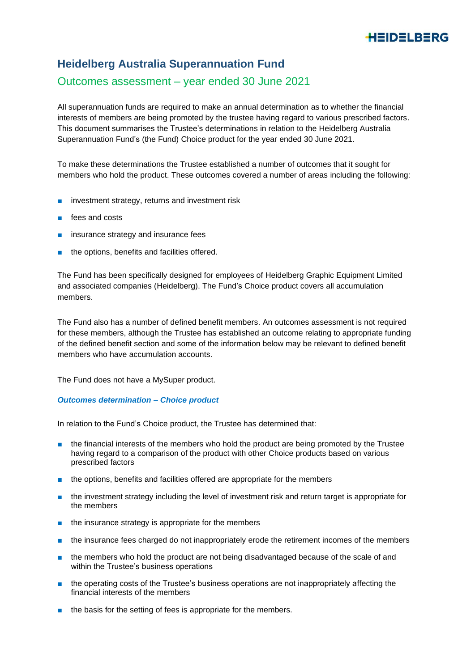# HEIDELBERG

# **Heidelberg Australia Superannuation Fund**

## Outcomes assessment – year ended 30 June 2021

All superannuation funds are required to make an annual determination as to whether the financial interests of members are being promoted by the trustee having regard to various prescribed factors. This document summarises the Trustee's determinations in relation to the Heidelberg Australia Superannuation Fund's (the Fund) Choice product for the year ended 30 June 2021.

To make these determinations the Trustee established a number of outcomes that it sought for members who hold the product. These outcomes covered a number of areas including the following:

- investment strategy, returns and investment risk
- fees and costs
- insurance strategy and insurance fees
- the options, benefits and facilities offered.

The Fund has been specifically designed for employees of Heidelberg Graphic Equipment Limited and associated companies (Heidelberg). The Fund's Choice product covers all accumulation members.

The Fund also has a number of defined benefit members. An outcomes assessment is not required for these members, although the Trustee has established an outcome relating to appropriate funding of the defined benefit section and some of the information below may be relevant to defined benefit members who have accumulation accounts.

The Fund does not have a MySuper product.

## *Outcomes determination – Choice product*

In relation to the Fund's Choice product, the Trustee has determined that:

- the financial interests of the members who hold the product are being promoted by the Trustee having regard to a comparison of the product with other Choice products based on various prescribed factors
- the options, benefits and facilities offered are appropriate for the members
- the investment strategy including the level of investment risk and return target is appropriate for the members
- the insurance strategy is appropriate for the members
- the insurance fees charged do not inappropriately erode the retirement incomes of the members
- the members who hold the product are not being disadvantaged because of the scale of and within the Trustee's business operations
- the operating costs of the Trustee's business operations are not inappropriately affecting the financial interests of the members
- the basis for the setting of fees is appropriate for the members.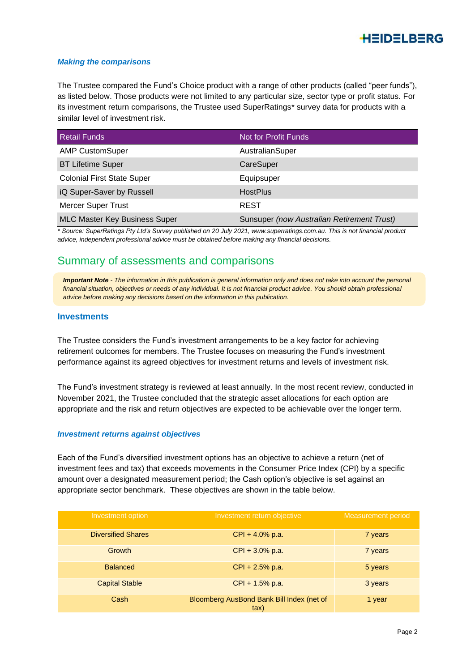

#### *Making the comparisons*

The Trustee compared the Fund's Choice product with a range of other products (called "peer funds"), as listed below. Those products were not limited to any particular size, sector type or profit status. For its investment return comparisons, the Trustee used SuperRatings\* survey data for products with a similar level of investment risk.

| <b>Retail Funds</b>                  | Not for Profit Funds                       |
|--------------------------------------|--------------------------------------------|
| <b>AMP CustomSuper</b>               | AustralianSuper                            |
| <b>BT Lifetime Super</b>             | CareSuper                                  |
| <b>Colonial First State Super</b>    | Equipsuper                                 |
| iQ Super-Saver by Russell            | <b>HostPlus</b>                            |
| <b>Mercer Super Trust</b>            | <b>REST</b>                                |
| <b>MLC Master Key Business Super</b> | Sunsuper (now Australian Retirement Trust) |

*\* Source: SuperRatings Pty Ltd's Survey published on 20 July 2021, www.superratings.com.au. This is not financial product advice, independent professional advice must be obtained before making any financial decisions.*

## Summary of assessments and comparisons

**Important Note** - The information in this publication is general information only and does not take into account the personal *financial situation, objectives or needs of any individual. It is not financial product advice. You should obtain professional advice before making any decisions based on the information in this publication.*

## **Investments**

The Trustee considers the Fund's investment arrangements to be a key factor for achieving retirement outcomes for members. The Trustee focuses on measuring the Fund's investment performance against its agreed objectives for investment returns and levels of investment risk.

The Fund's investment strategy is reviewed at least annually. In the most recent review, conducted in November 2021, the Trustee concluded that the strategic asset allocations for each option are appropriate and the risk and return objectives are expected to be achievable over the longer term.

#### *Investment returns against objectives*

Each of the Fund's diversified investment options has an objective to achieve a return (net of investment fees and tax) that exceeds movements in the Consumer Price Index (CPI) by a specific amount over a designated measurement period; the Cash option's objective is set against an appropriate sector benchmark. These objectives are shown in the table below.

| Investment option         | Investment return objective                       | <b>Measurement period</b> |
|---------------------------|---------------------------------------------------|---------------------------|
| <b>Diversified Shares</b> | $CPI + 4.0\%$ p.a.                                | 7 years                   |
| <b>Growth</b>             | $CPI + 3.0\%$ p.a.                                | 7 years                   |
| <b>Balanced</b>           | $CPI + 2.5%$ p.a.                                 | 5 years                   |
| <b>Capital Stable</b>     | $CPI + 1.5%$ p.a.                                 | 3 years                   |
| Cash                      | Bloomberg AusBond Bank Bill Index (net of<br>tax) | 1 year                    |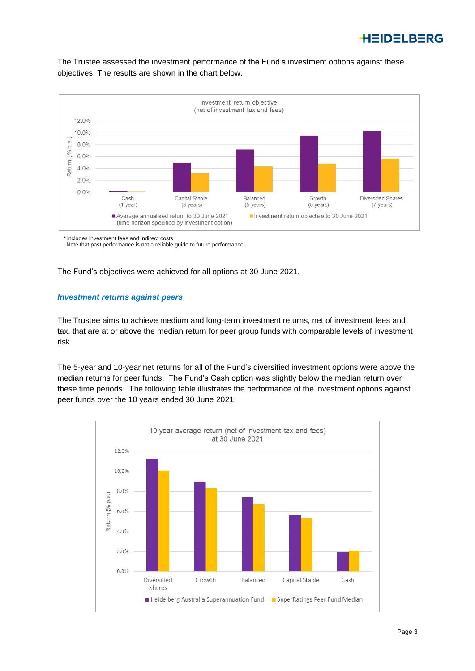

The Trustee assessed the investment performance of the Fund's investment options against these objectives. The results are shown in the chart below.



\* includes investment fees and indirect costs

Note that past performance is not a reliable guide to future performance.

The Fund's objectives were achieved for all options at 30 June 2021.

#### *Investment returns against peers*

The Trustee aims to achieve medium and long-term investment returns, net of investment fees and tax, that are at or above the median return for peer group funds with comparable levels of investment risk.

The 5-year and 10-year net returns for all of the Fund's diversified investment options were above the median returns for peer funds. The Fund's Cash option was slightly below the median return over these time periods. The following table illustrates the performance of the investment options against peer funds over the 10 years ended 30 June 2021:

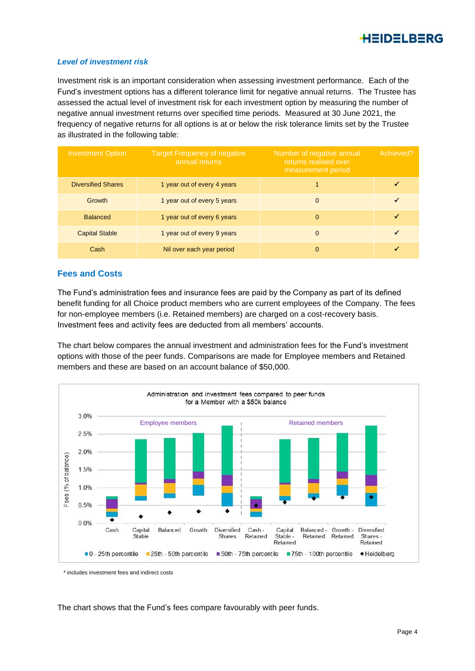

#### *Level of investment risk*

Investment risk is an important consideration when assessing investment performance. Each of the Fund's investment options has a different tolerance limit for negative annual returns. The Trustee has assessed the actual level of investment risk for each investment option by measuring the number of negative annual investment returns over specified time periods. Measured at 30 June 2021, the frequency of negative returns for all options is at or below the risk tolerance limits set by the Trustee as illustrated in the following table:

| <b>Investment Option</b>  | <b>Target Frequency of negative</b><br>annual returns | Number of negative annual<br>returns realised over<br>measurement period | Achieved? |
|---------------------------|-------------------------------------------------------|--------------------------------------------------------------------------|-----------|
| <b>Diversified Shares</b> | 1 year out of every 4 years                           |                                                                          |           |
| Growth                    | 1 year out of every 5 years                           | $\Omega$                                                                 |           |
| <b>Balanced</b>           | 1 year out of every 6 years                           | $\Omega$                                                                 |           |
| <b>Capital Stable</b>     | 1 year out of every 9 years                           | $\Omega$                                                                 |           |
| Cash                      | Nil over each year period                             | $\Omega$                                                                 |           |

## **Fees and Costs**

The Fund's administration fees and insurance fees are paid by the Company as part of its defined benefit funding for all Choice product members who are current employees of the Company. The fees for non-employee members (i.e. Retained members) are charged on a cost-recovery basis. Investment fees and activity fees are deducted from all members' accounts.

The chart below compares the annual investment and administration fees for the Fund's investment options with those of the peer funds. Comparisons are made for Employee members and Retained members and these are based on an account balance of \$50,000.



\* includes investment fees and indirect costs

The chart shows that the Fund's fees compare favourably with peer funds.